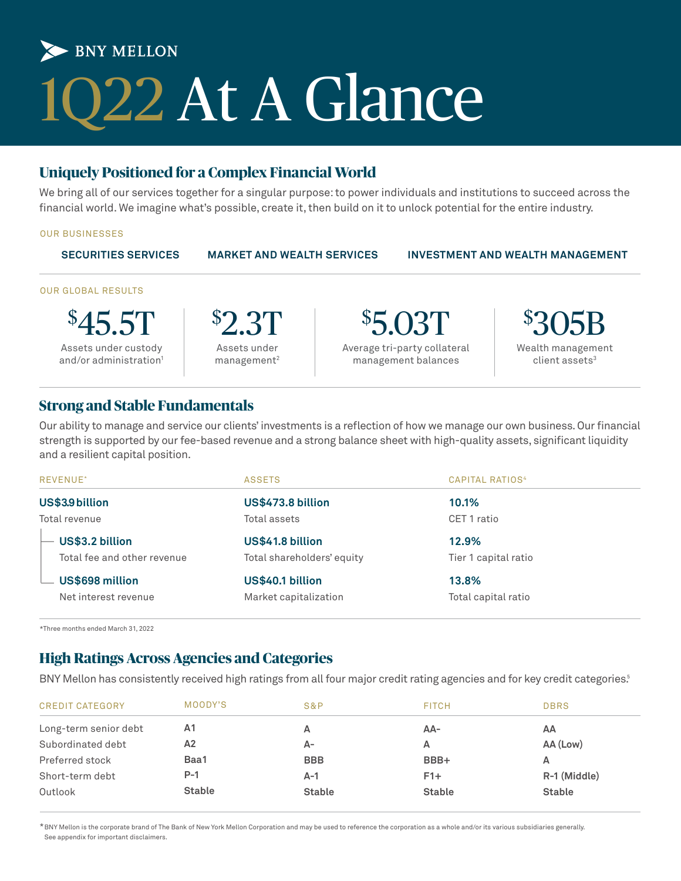

# 1Q22 At A Glance

# **Uniquely Positioned for a Complex Financial World**

We bring all of our services together for a singular purpose: to power individuals and institutions to succeed across the financial world. We imagine what's possible, create it, then build on it to unlock potential for the entire industry.

#### OUR BUSINESSES

#### **SECURITIES SERVICES MARKET AND WEALTH SERVICES INVESTMENT AND WEALTH MANAGEMENT**

OUR GLOBAL RESULTS

\$ 45.5T Assets under custody and/or administration<sup>1</sup> \$ 2.3T Assets under

management<sup>2</sup>

\$ 5.03T Average tri-party collateral management balances

\$ 305B Wealth management client assets<sup>3</sup>

# **Strong and Stable Fundamentals**

Our ability to manage and service our clients' investments is a reflection of how we manage our own business. Our financial strength is supported by our fee-based revenue and a strong balance sheet with high-quality assets, significant liquidity and a resilient capital position.

| <b>REVENUE*</b>                                | <b>ASSETS</b>                                  | <b>CAPITAL RATIOS4</b>        |
|------------------------------------------------|------------------------------------------------|-------------------------------|
| US\$3.9 billion                                | US\$473.8 billion                              | 10.1%                         |
| Total revenue                                  | Total assets                                   | CET 1 ratio                   |
| US\$3.2 billion<br>Total fee and other revenue | US\$41.8 billion<br>Total shareholders' equity | 12.9%<br>Tier 1 capital ratio |
| US\$698 million<br>Net interest revenue        | US\$40.1 billion<br>Market capitalization      | 13.8%<br>Total capital ratio  |

\*Three months ended March 31, 2022

# **High Ratings Across Agencies and Categories**

BNY Mellon has consistently received high ratings from all four major credit rating agencies and for key credit categories.<sup>5</sup>

| <b>CREDIT CATEGORY</b> | MOODY'S        | S&P           | <b>FITCH</b>  | <b>DBRS</b>   |
|------------------------|----------------|---------------|---------------|---------------|
| Long-term senior debt  | A <sub>1</sub> |               | AA-           | AA            |
| Subordinated debt      | A <sub>2</sub> | А-            | А             | AA (Low)      |
| Preferred stock        | Baa1           | <b>BBB</b>    | BBB+          | А             |
| Short-term debt        | $P-1$          | $A-1$         | $F1+$         | R-1 (Middle)  |
| Outlook                | <b>Stable</b>  | <b>Stable</b> | <b>Stable</b> | <b>Stable</b> |

BNY Mellon is the corporate brand of The Bank of New York Mellon Corporation and may be used to reference the corporation as a whole and/or its various subsidiaries generally. \* See appendix for important disclaimers.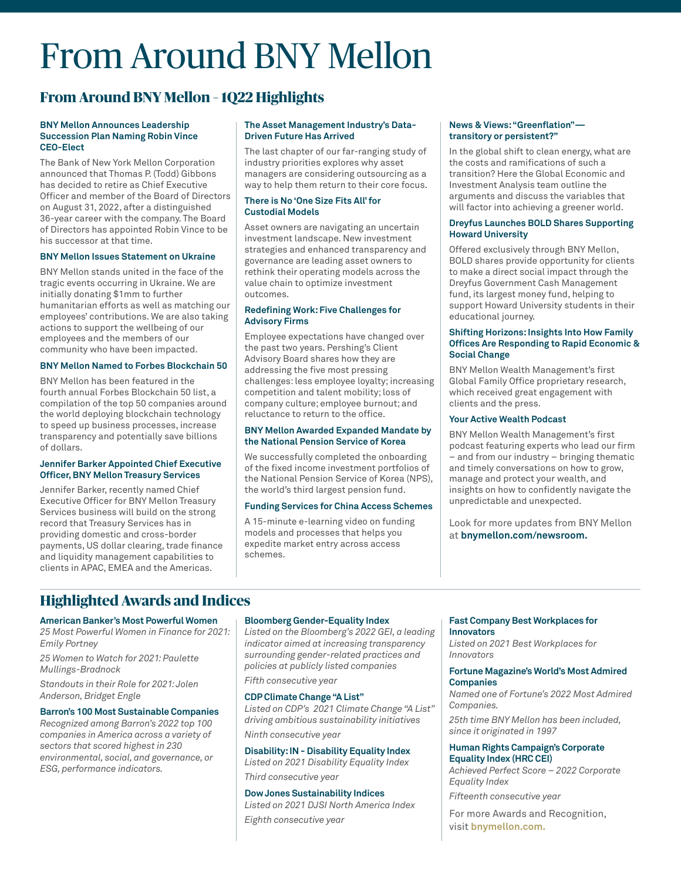# From Around BNY Mellon

# **From Around BNY Mellon – 1Q22 Highlights**

#### **BNY Mellon Announces Leadership Succession Plan Naming Robin Vince CEO-Elect**

The Bank of New York Mellon Corporation announced that Thomas P. (Todd) Gibbons has decided to retire as Chief Executive Officer and member of the Board of Directors on August 31, 2022, after a distinguished 36-year career with the company. The Board of Directors has appointed Robin Vince to be his successor at that time.

#### **BNY Mellon Issues Statement on Ukraine**

BNY Mellon stands united in the face of the tragic events occurring in Ukraine. We are initially donating \$1mm to further humanitarian efforts as well as matching our employees' contributions. We are also taking actions to support the wellbeing of our employees and the members of our community who have been impacted.

#### **BNY Mellon Named to Forbes Blockchain 50**

BNY Mellon has been featured in the fourth annual Forbes Blockchain 50 list, a compilation of the top 50 companies around the world deploying blockchain technology to speed up business processes, increase transparency and potentially save billions of dollars.

#### **Jennifer Barker Appointed Chief Executive Officer, BNY Mellon Treasury Services**

Jennifer Barker, recently named Chief Executive Officer for BNY Mellon Treasury Services business will build on the strong record that Treasury Services has in providing domestic and cross-border payments, US dollar clearing, trade finance and liquidity management capabilities to clients in APAC, EMEA and the Americas.

#### **The Asset Management Industry's Data-Driven Future Has Arrived**

The last chapter of our far-ranging study of industry priorities explores why asset managers are considering outsourcing as a way to help them return to their core focus.

#### **There is No 'One Size Fits All' for Custodial Models**

Asset owners are navigating an uncertain investment landscape. New investment strategies and enhanced transparency and governance are leading asset owners to rethink their operating models across the value chain to optimize investment outcomes.

#### **Redefining Work: Five Challenges for Advisory Firms**

Employee expectations have changed over the past two years. Pershing's Client Advisory Board shares how they are addressing the five most pressing challenges: less employee loyalty; increasing competition and talent mobility; loss of company culture; employee burnout; and reluctance to return to the office.

#### **BNY Mellon Awarded Expanded Mandate by the National Pension Service of Korea**

We successfully completed the onboarding of the fixed income investment portfolios of the National Pension Service of Korea (NPS), the world's third largest pension fund.

#### **Funding Services for China Access Schemes**

A 15-minute e-learning video on funding models and processes that helps you expedite market entry across access schemes.

#### **News & Views: "Greenflation" transitory or persistent?"**

In the global shift to clean energy, what are the costs and ramifications of such a transition? Here the Global Economic and Investment Analysis team outline the arguments and discuss the variables that will factor into achieving a greener world.

#### **Dreyfus Launches BOLD Shares Supporting Howard University**

Offered exclusively through BNY Mellon, BOLD shares provide opportunity for clients to make a direct social impact through the Dreyfus Government Cash Management fund, its largest money fund, helping to support Howard University students in their educational journey.

#### **Shifting Horizons: Insights Into How Family Offices Are Responding to Rapid Economic & Social Change**

BNY Mellon Wealth Management's first Global Family Office proprietary research, which received great engagement with clients and the press.

#### **Your Active Wealth Podcast**

BNY Mellon Wealth Management's first podcast featuring experts who lead our firm – and from our industry – bringing thematic and timely conversations on how to grow, manage and protect your wealth, and insights on how to confidently navigate the unpredictable and unexpected.

Look for more updates from BNY Mellon at **bnymellon.com/newsroom.**

# **Highlighted Awards and Indices**

#### **American Banker's Most Powerful Women**

*25 Most Powerful Women in Finance for 2021: Emily Portney* 

*25 Women to Watch for 2021: Paulette Mullings-Bradnock* 

*Standouts in their Role for 2021: Jolen Anderson, Bridget Engle*

#### **Barron's 100 Most Sustainable Companies**

*Recognized among Barron's 2022 top 100 companies in America across a variety of sectors that scored highest in 230 environmental, social, and governance, or ESG, performance indicators.*

**Bloomberg Gender-Equality Index**

*Listed on the Bloomberg's 2022 GEI, a leading indicator aimed at increasing transparency surrounding gender-related practices and policies at publicly listed companies* 

*Fifth consecutive year*

#### **CDP Climate Change "A List"**

*Listed on CDP's 2021 Climate Change "A List" driving ambitious sustainability initiatives Ninth consecutive year* 

**Disability: IN - Disability Equality Index** *Listed on 2021 Disability Equality Index Third consecutive year* 

**Dow Jones Sustainability Indices** *Listed on 2021 DJSI North America Index Eighth consecutive year* 

#### **Fast Company Best Workplaces for Innovators**

*Listed on 2021 Best Workplaces for Innovators* 

#### **Fortune Magazine's World's Most Admired Companies**

*Named one of Fortune's 2022 Most Admired Companies.*

*25th time BNY Mellon has been included, since it originated in 1997*

#### **Human Rights Campaign's Corporate Equality Index (HRC CEI)**

*Achieved Perfect Score – 2022 Corporate Equality Index*

*Fifteenth consecutive year*

For more Awards and Recognition, visit **bnymellon.com.**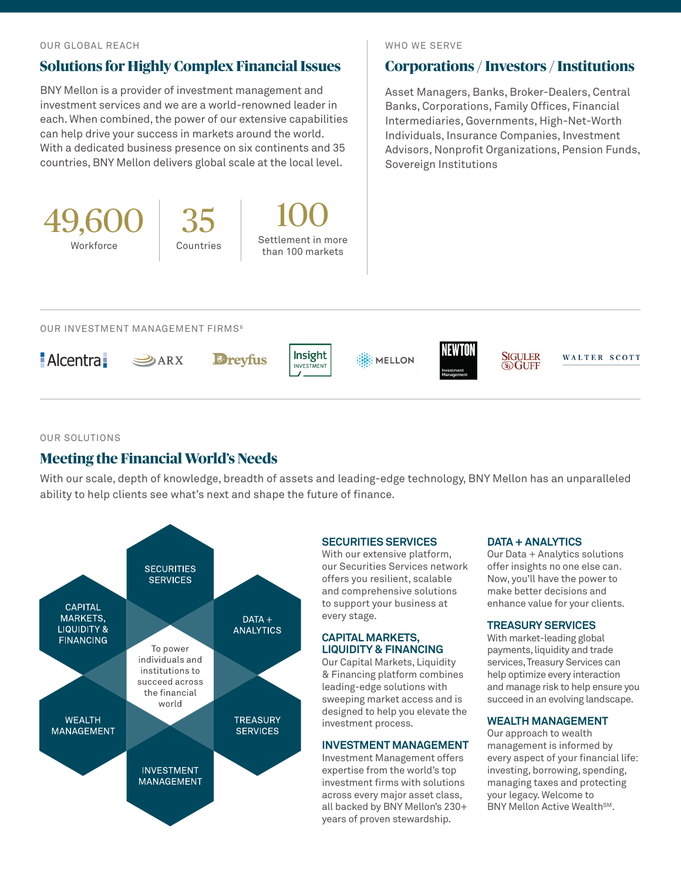#### OUR GLOBAL REACH

# **Solutions for Highly Complex Financial Issues**

BNY Mellon is a provider of investment management and investment services and we are a world-renowned leader in each. When combined, the power of our extensive capabilities can help drive your success in markets around the world. With a dedicated business presence on six continents and 35 countries, BNY Mellon delivers global scale at the local level.

49,600 Workforce



100 Settlement in more than 100 markets

#### WHO WE SERVE

# **Corporations / Investors / Institutions**

Asset Managers, Banks, Broker-Dealers, Central Banks, Corporations, Family Offices, Financial Intermediaries, Governments, High-Net-Worth Individuals, Insurance Companies, Investment Advisors, Nonprofit Organizations, Pension Funds, Sovereign Institutions



#### OUR SOLUTIONS

# **Meeting the Financial World's Needs**

With our scale, depth of knowledge, breadth of assets and leading-edge technology, BNY Mellon has an unparalleled ability to help clients see what's next and shape the future of finance.



#### **SECURITIES SERVICES**

With our extensive platform, our Securities Services network offers you resilient, scalable and comprehensive solutions to support your business at every stage.

#### **CAPITAL MARKETS, LIQUIDITY & FINANCING**

Our Capital Markets, Liquidity & Financing platform combines leading-edge solutions with sweeping market access and is designed to help you elevate the investment process.

#### **INVESTMENT MANAGEMENT**

Investment Management offers expertise from the world's top investment firms with solutions across every major asset class, all backed by BNY Mellon's 230+ years of proven stewardship.

#### **DATA + ANALYTICS**

Our Data + Analytics solutions offer insights no one else can. Now, you'll have the power to make better decisions and enhance value for your clients.

#### **TREASURY SERVICES**

With market-leading global payments, liquidity and trade services, Treasury Services can help optimize every interaction and manage risk to help ensure you succeed in an evolving landscape.

#### **WEALTH MANAGEMENT**

Our approach to wealth management is informed by every aspect of your financial life: investing, borrowing, spending, managing taxes and protecting your legacy. Welcome to BNY Mellon Active Wealth<sup>SM</sup>.